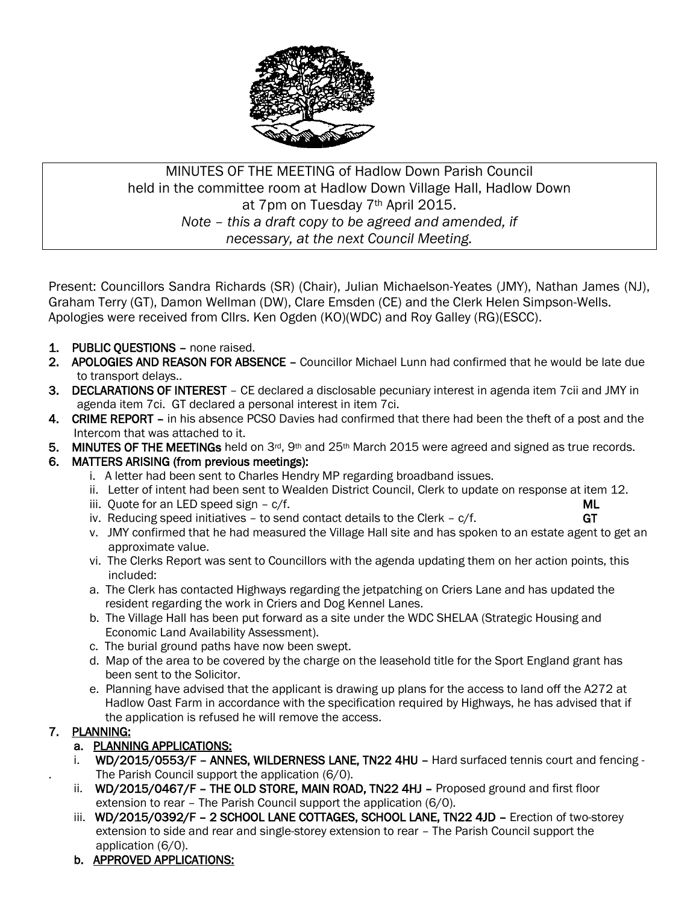

# MINUTES OF THE MEETING of Hadlow Down Parish Council held in the committee room at Hadlow Down Village Hall, Hadlow Down at 7pm on Tuesday 7<sup>th</sup> April 2015. *Note – this a draft copy to be agreed and amended, if necessary, at the next Council Meeting.*

Present: Councillors Sandra Richards (SR) (Chair), Julian Michaelson-Yeates (JMY), Nathan James (NJ), Graham Terry (GT), Damon Wellman (DW), Clare Emsden (CE) and the Clerk Helen Simpson-Wells. Apologies were received from Cllrs. Ken Ogden (KO)(WDC) and Roy Galley (RG)(ESCC).

- 1. PUBLIC QUESTIONS none raised.
- 2. APOLOGIES AND REASON FOR ABSENCE Councillor Michael Lunn had confirmed that he would be late due to transport delays..
- 3. DECLARATIONS OF INTEREST CE declared a disclosable pecuniary interest in agenda item 7cii and JMY in agenda item 7ci. GT declared a personal interest in item 7ci.
- 4. CRIME REPORT in his absence PCSO Davies had confirmed that there had been the theft of a post and the Intercom that was attached to it.
- 5. MINUTES OF THE MEETINGs held on  $3<sup>rd</sup>$ , 9<sup>th</sup> and 25<sup>th</sup> March 2015 were agreed and signed as true records.

## 6. MATTERS ARISING (from previous meetings):

- i. A letter had been sent to Charles Hendry MP regarding broadband issues.
- ii. Letter of intent had been sent to Wealden District Council, Clerk to update on response at item 12.
- iii. Ouote for an LED speed sign c/f. Music extension of the state of the Music extension of the Music extension of the Music extension of the Music extension of the Music extension of the Music extension of the Music ex
- iv. Reducing speed initiatives to send contact details to the Clerk  $c/f$ .  $G\mathsf{T}$
- v. JMY confirmed that he had measured the Village Hall site and has spoken to an estate agent to get an approximate value.
- vi. The Clerks Report was sent to Councillors with the agenda updating them on her action points, this included:
- a. The Clerk has contacted Highways regarding the jetpatching on Criers Lane and has updated the resident regarding the work in Criers and Dog Kennel Lanes.
- b. The Village Hall has been put forward as a site under the WDC SHELAA (Strategic Housing and Economic Land Availability Assessment).
- c. The burial ground paths have now been swept.
- d. Map of the area to be covered by the charge on the leasehold title for the Sport England grant has been sent to the Solicitor.
- e. Planning have advised that the applicant is drawing up plans for the access to land off the A272 at Hadlow Oast Farm in accordance with the specification required by Highways, he has advised that if the application is refused he will remove the access.

## 7. PLANNING:

## a. PLANNING APPLICATIONS:

- i. WD/2015/0553/F ANNES, WILDERNESS LANE, TN22 4HU Hard surfaced tennis court and fencing -The Parish Council support the application (6/0).
- ii. WD/2015/0467/F THE OLD STORE, MAIN ROAD, TN22 4HJ Proposed ground and first floor extension to rear – The Parish Council support the application (6/0).
- iii. WD/2015/0392/F 2 SCHOOL LANE COTTAGES, SCHOOL LANE, TN22 4JD Erection of two-storey extension to side and rear and single-storey extension to rear – The Parish Council support the application (6/0).
- b. APPROVED APPLICATIONS: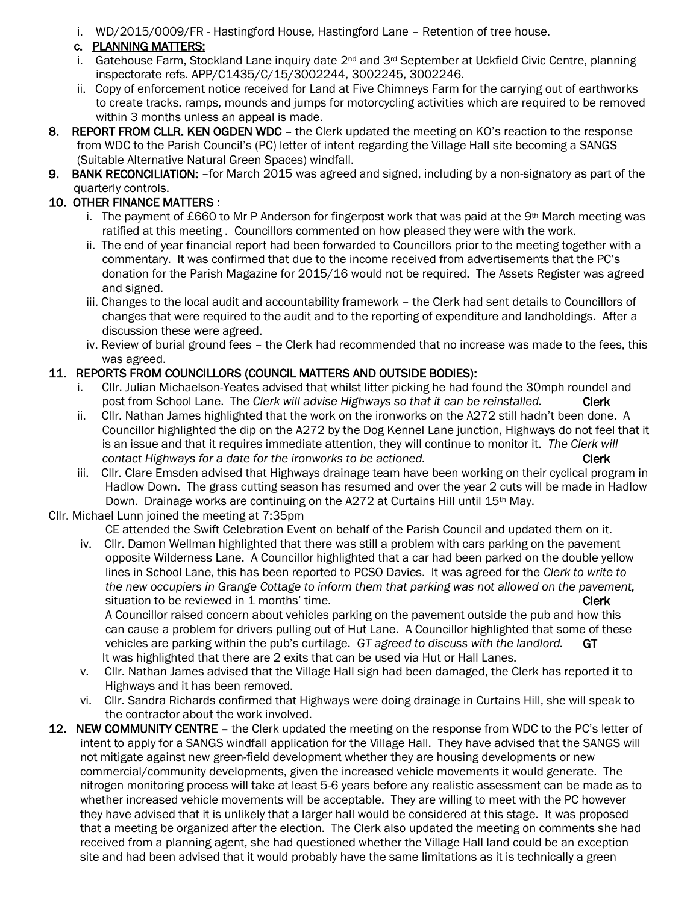i. WD/2015/0009/FR - Hastingford House, Hastingford Lane – Retention of tree house.

### c. PLANNING MATTERS:

- i. Gatehouse Farm, Stockland Lane inquiry date  $2^{nd}$  and  $3^{rd}$  September at Uckfield Civic Centre, planning inspectorate refs. APP/C1435/C/15/3002244, 3002245, 3002246.
- ii. Copy of enforcement notice received for Land at Five Chimneys Farm for the carrying out of earthworks to create tracks, ramps, mounds and jumps for motorcycling activities which are required to be removed within 3 months unless an appeal is made.
- 8. REPORT FROM CLLR. KEN OGDEN WDC the Clerk updated the meeting on KO's reaction to the response from WDC to the Parish Council's (PC) letter of intent regarding the Village Hall site becoming a SANGS (Suitable Alternative Natural Green Spaces) windfall.
- 9. BANK RECONCILIATION: –for March 2015 was agreed and signed, including by a non-signatory as part of the quarterly controls.

## 10. OTHER FINANCE MATTERS :

- i. The payment of £660 to Mr P Anderson for fingerpost work that was paid at the 9<sup>th</sup> March meeting was ratified at this meeting . Councillors commented on how pleased they were with the work.
- ii. The end of year financial report had been forwarded to Councillors prior to the meeting together with a commentary. It was confirmed that due to the income received from advertisements that the PC's donation for the Parish Magazine for 2015/16 would not be required. The Assets Register was agreed and signed.
- iii. Changes to the local audit and accountability framework the Clerk had sent details to Councillors of changes that were required to the audit and to the reporting of expenditure and landholdings. After a discussion these were agreed.
- iv. Review of burial ground fees the Clerk had recommended that no increase was made to the fees, this was agreed.

### 11. REPORTS FROM COUNCILLORS (COUNCIL MATTERS AND OUTSIDE BODIES):

- i. Cllr. Julian Michaelson-Yeates advised that whilst litter picking he had found the 30mph roundel and post from School Lane. The Clerk will advise Highways so that it can be reinstalled. Clerk
- ii. Cllr. Nathan James highlighted that the work on the ironworks on the A272 still hadn't been done. A Councillor highlighted the dip on the A272 by the Dog Kennel Lane junction, Highways do not feel that it is an issue and that it requires immediate attention, they will continue to monitor it. *The Clerk will Contact Highways for a date for the ironworks to be actioned.* **Clerk <b>Clerk**
- iii. Cllr. Clare Emsden advised that Highways drainage team have been working on their cyclical program in Hadlow Down. The grass cutting season has resumed and over the year 2 cuts will be made in Hadlow Down. Drainage works are continuing on the A272 at Curtains Hill until 15th May.

#### Cllr. Michael Lunn joined the meeting at 7:35pm

CE attended the Swift Celebration Event on behalf of the Parish Council and updated them on it.

 iv. Cllr. Damon Wellman highlighted that there was still a problem with cars parking on the pavement opposite Wilderness Lane. A Councillor highlighted that a car had been parked on the double yellow lines in School Lane, this has been reported to PCSO Davies. It was agreed for the *Clerk to write to the new occupiers in Grange Cottage to inform them that parking was not allowed on the pavement,* **Situation to be reviewed in 1 months' time.** Clerk and the state of the clerk clerk

 A Councillor raised concern about vehicles parking on the pavement outside the pub and how this can cause a problem for drivers pulling out of Hut Lane. A Councillor highlighted that some of these vehicles are parking within the pub's curtilage. *GT agreed to discuss with the landlord.* GT It was highlighted that there are 2 exits that can be used via Hut or Hall Lanes.

- v. Cllr. Nathan James advised that the Village Hall sign had been damaged, the Clerk has reported it to Highways and it has been removed.
- vi. Cllr. Sandra Richards confirmed that Highways were doing drainage in Curtains Hill, she will speak to the contractor about the work involved.
- 12. NEW COMMUNITY CENTRE the Clerk updated the meeting on the response from WDC to the PC's letter of intent to apply for a SANGS windfall application for the Village Hall. They have advised that the SANGS will not mitigate against new green-field development whether they are housing developments or new commercial/community developments, given the increased vehicle movements it would generate. The nitrogen monitoring process will take at least 5-6 years before any realistic assessment can be made as to whether increased vehicle movements will be acceptable. They are willing to meet with the PC however they have advised that it is unlikely that a larger hall would be considered at this stage. It was proposed that a meeting be organized after the election. The Clerk also updated the meeting on comments she had received from a planning agent, she had questioned whether the Village Hall land could be an exception site and had been advised that it would probably have the same limitations as it is technically a green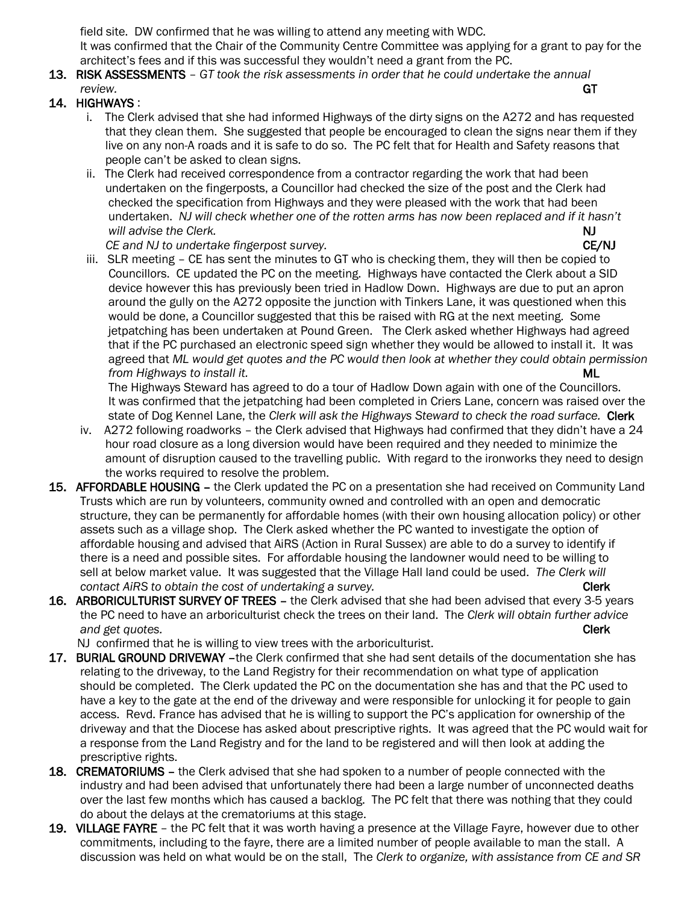field site. DW confirmed that he was willing to attend any meeting with WDC. It was confirmed that the Chair of the Community Centre Committee was applying for a grant to pay for the architect's fees and if this was successful they wouldn't need a grant from the PC.

13. RISK ASSESSMENTS – *GT took the risk assessments in order that he could undertake the annual review.* GT

#### 14. HIGHWAYS :

- i. The Clerk advised that she had informed Highways of the dirty signs on the A272 and has requested that they clean them. She suggested that people be encouraged to clean the signs near them if they live on any non-A roads and it is safe to do so. The PC felt that for Health and Safety reasons that people can't be asked to clean signs.
- ii. The Clerk had received correspondence from a contractor regarding the work that had been undertaken on the fingerposts, a Councillor had checked the size of the post and the Clerk had checked the specification from Highways and they were pleased with the work that had been undertaken. *NJ will check whether one of the rotten arms has now been replaced and if it hasn't will advise the Clerk.* NJ

*CE and NJ to undertake fingerpost survey.* CE **ALCONS CE/NJ** 

 iii. SLR meeting – CE has sent the minutes to GT who is checking them, they will then be copied to Councillors. CE updated the PC on the meeting. Highways have contacted the Clerk about a SID device however this has previously been tried in Hadlow Down. Highways are due to put an apron around the gully on the A272 opposite the junction with Tinkers Lane, it was questioned when this would be done, a Councillor suggested that this be raised with RG at the next meeting. Some jetpatching has been undertaken at Pound Green. The Clerk asked whether Highways had agreed that if the PC purchased an electronic speed sign whether they would be allowed to install it. It was agreed that *ML would get quotes and the PC would then look at whether they could obtain permission <i>from Highways to install it.* ML

 The Highways Steward has agreed to do a tour of Hadlow Down again with one of the Councillors. It was confirmed that the jetpatching had been completed in Criers Lane, concern was raised over the state of Dog Kennel Lane, the *Clerk will ask the Highways Steward to check the road surface.* Clerk

- iv. A272 following roadworks the Clerk advised that Highways had confirmed that they didn't have a 24 hour road closure as a long diversion would have been required and they needed to minimize the amount of disruption caused to the travelling public. With regard to the ironworks they need to design the works required to resolve the problem.
- 15. AFFORDABLE HOUSING the Clerk updated the PC on a presentation she had received on Community Land Trusts which are run by volunteers, community owned and controlled with an open and democratic structure, they can be permanently for affordable homes (with their own housing allocation policy) or other assets such as a village shop. The Clerk asked whether the PC wanted to investigate the option of affordable housing and advised that AiRS (Action in Rural Sussex) are able to do a survey to identify if there is a need and possible sites. For affordable housing the landowner would need to be willing to sell at below market value. It was suggested that the Village Hall land could be used. *The Clerk will contact AiRS to obtain the cost of undertaking a survey.* **The contact and the cost of undertaking a survey.**
- 16. ARBORICULTURIST SURVEY OF TREES the Clerk advised that she had been advised that every 3-5 years the PC need to have an arboriculturist check the trees on their land. The *Clerk will obtain further advice and get quotes.* **Clerk** 
	- NJ confirmed that he is willing to view trees with the arboriculturist.
- 17. BURIAL GROUND DRIVEWAY -the Clerk confirmed that she had sent details of the documentation she has relating to the driveway, to the Land Registry for their recommendation on what type of application should be completed. The Clerk updated the PC on the documentation she has and that the PC used to have a key to the gate at the end of the driveway and were responsible for unlocking it for people to gain access. Revd. France has advised that he is willing to support the PC's application for ownership of the driveway and that the Diocese has asked about prescriptive rights. It was agreed that the PC would wait for a response from the Land Registry and for the land to be registered and will then look at adding the prescriptive rights.
- 18. CREMATORIUMS the Clerk advised that she had spoken to a number of people connected with the industry and had been advised that unfortunately there had been a large number of unconnected deaths over the last few months which has caused a backlog. The PC felt that there was nothing that they could do about the delays at the crematoriums at this stage.
- 19. VILLAGE FAYRE the PC felt that it was worth having a presence at the Village Fayre, however due to other commitments, including to the fayre, there are a limited number of people available to man the stall. A discussion was held on what would be on the stall, The *Clerk to organize, with assistance from CE and SR*